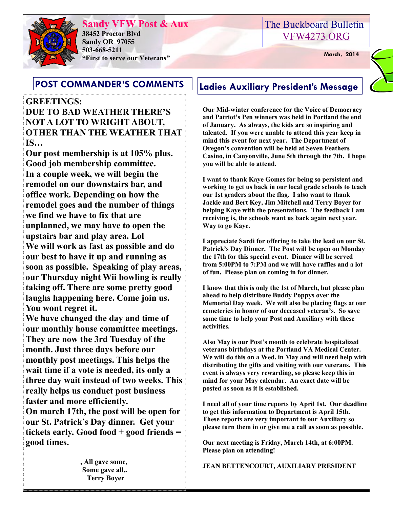## **Sandy VFW Post & Aux**



**38452 Proctor Blvd Sandy OR 97055 503-668-5211 EXECUTE:** March, 2014<br> **March, 2014**<br> **March, 2014** 

## The Buckboard Bulletin [VFW4273.ORG](http://vfw4273.org/)

## **GREETINGS:**

**DUE TO BAD WEATHER THERE'S NOT A LOT TO WRIGHT ABOUT, OTHER THAN THE WEATHER THAT IS…**

**Our post membership is at 105% plus. Good job membership committee. In a couple week, we will begin the remodel on our downstairs bar, and office work. Depending on how the remodel goes and the number of things we find we have to fix that are unplanned, we may have to open the upstairs bar and play area. Lol We will work as fast as possible and do our best to have it up and running as soon as possible. Speaking of play areas, our Thursday night Wii bowling is really taking off. There are some pretty good laughs happening here. Come join us. You wont regret it.**

**We have changed the day and time of our monthly house committee meetings. They are now the 3rd Tuesday of the month. Just three days before our monthly post meetings. This helps the wait time if a vote is needed, its only a three day wait instead of two weeks. This really helps us conduct post business faster and more efficiently.** 

**On march 17th, the post will be open for our St. Patrick's Day dinner. Get your tickets early. Good food + good friends = good times.**

**POST COMMANDER'S COMMENTS Ladies Auxiliary President's Message**

**Our Mid-winter conference for the Voice of Democracy and Patriot's Pen winners was held in Portland the end of January. As always, the kids are so inspiring and talented. If you were unable to attend this year keep in mind this event for next year. The Department of Oregon's convention will be held at Seven Feathers Casino, in Canyonville, June 5th through the 7th. I hope you will be able to attend.**

**I want to thank Kaye Gomes for being so persistent and working to get us back in our local grade schools to teach our 1st graders about the flag. I also want to thank Jackie and Bert Key, Jim Mitchell and Terry Boyer for helping Kaye with the presentations. The feedback I am receiving is, the schools want us back again next year. Way to go Kaye.**

**I appreciate Sardi for offering to take the lead on our St. Patrick's Day Dinner. The Post will be open on Monday the 17th for this special event. Dinner will be served from 5:00PM to 7:PM and we will have raffles and a lot of fun. Please plan on coming in for dinner.**

**I know that this is only the 1st of March, but please plan ahead to help distribute Buddy Poppys over the Memorial Day week. We will also be placing flags at our cemeteries in honor of our deceased veteran's. So save some time to help your Post and Auxiliary with these activities.** 

**Also May is our Post's month to celebrate hospitalized veterans birthdays at the Portland VA Medical Center. We will do this on a Wed. in May and will need help with distributing the gifts and visiting with our veterans. This event is always very rewarding, so please keep this in mind for your May calendar. An exact date will be posted as soon as it is established.**

**I need all of your time reports by April 1st. Our deadline to get this information to Department is April 15th. These reports are very important to our Auxiliary so please turn them in or give me a call as soon as possible.**

**Our next meeting is Friday, March 14th, at 6:00PM. Please plan on attending!**

**, All gave some, Some gave all,. Terry Boyer**

**JEAN BETTENCOURT, AUXILIARY PRESIDENT**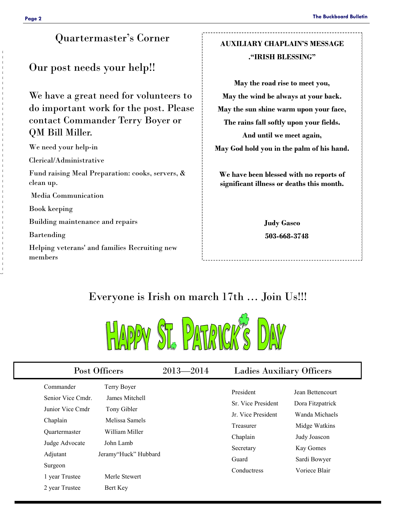## Quartermaster's Corner

Our post needs your help!!

We have a great need for volunteers to do important work for the post. Please contact Commander Terry Boyer or QM Bill Miller.

We need your help-in Clerical/Administrative Fund raising Meal Preparation: cooks, servers, & clean up. Media Communication Book keeping Building maintenance and repairs Bartending Helping veterans' and families Recruiting new members

## **AUXILIARY CHAPLAIN'S MESSAGE ."IRISH BLESSING"**

**May the road rise to meet you, May the wind be always at your back. May the sun shine warm upon your face, The rains fall softly upon your fields. And until we meet again, May God hold you in the palm of his hand.**

**We have been blessed with no reports of significant illness or deaths this month.**

> **Judy Gasco 503-668-3748**

## Everyone is Irish on march 17th … Join Us!!!



|                                                                                                          | Post Officers                                                                                 |               |                                                                                             | <b>Ladies Auxiliary Officers</b>                                                                     |  |  |
|----------------------------------------------------------------------------------------------------------|-----------------------------------------------------------------------------------------------|---------------|---------------------------------------------------------------------------------------------|------------------------------------------------------------------------------------------------------|--|--|
| Commander<br>Senior Vice Cmdr.<br>Junior Vice Cmdr<br>Chaplain<br><b>Ouartermaster</b><br>Judge Advocate | Terry Boyer<br>James Mitchell<br>Tony Gibler<br>Melissa Samels<br>William Miller<br>John Lamb | $2013 - 2014$ | President<br>Sr. Vice President<br>Jr. Vice President<br>Treasurer<br>Chaplain<br>Secretary | Jean Bettencourt<br>Dora Fitzpatrick<br>Wanda Michaels<br>Midge Watkins<br>Judy Joascon<br>Kay Gomes |  |  |
| Adjutant<br>Surgeon<br>1 year Trustee<br>2 year Trustee                                                  | Jeramy"Huck" Hubbard<br>Merle Stewert<br>Bert Key                                             |               | Guard<br>Conductress                                                                        | Sardi Bowyer<br>Voriece Blair                                                                        |  |  |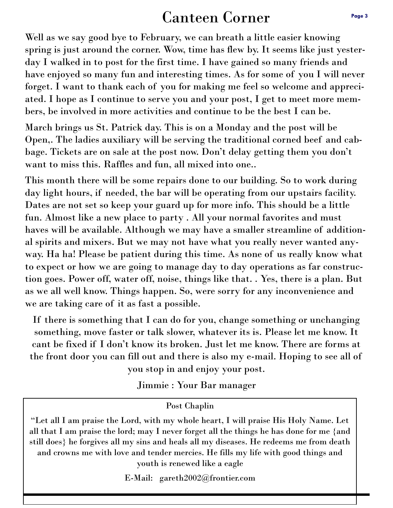# Canteen Corner

Well as we say good bye to February, we can breath a little easier knowing spring is just around the corner. Wow, time has flew by. It seems like just yesterday I walked in to post for the first time. I have gained so many friends and have enjoyed so many fun and interesting times. As for some of you I will never forget. I want to thank each of you for making me feel so welcome and appreciated. I hope as I continue to serve you and your post, I get to meet more members, be involved in more activities and continue to be the best I can be.

March brings us St. Patrick day. This is on a Monday and the post will be Open,. The ladies auxiliary will be serving the traditional corned beef and cabbage. Tickets are on sale at the post now. Don't delay getting them you don't want to miss this. Raffles and fun, all mixed into one..

This month there will be some repairs done to our building. So to work during day light hours, if needed, the bar will be operating from our upstairs facility. Dates are not set so keep your guard up for more info. This should be a little fun. Almost like a new place to party . All your normal favorites and must haves will be available. Although we may have a smaller streamline of additional spirits and mixers. But we may not have what you really never wanted anyway. Ha ha! Please be patient during this time. As none of us really know what to expect or how we are going to manage day to day operations as far construction goes. Power off, water off, noise, things like that. . Yes, there is a plan. But as we all well know. Things happen. So, were sorry for any inconvenience and we are taking care of it as fast a possible.

If there is something that I can do for you, change something or unchanging something, move faster or talk slower, whatever its is. Please let me know. It cant be fixed if I don't know its broken. Just let me know. There are forms at the front door you can fill out and there is also my e-mail. Hoping to see all of you stop in and enjoy your post.

Jimmie : Your Bar manager

## Post Chaplin

"Let all I am praise the Lord, with my whole heart, I will praise His Holy Name. Let all that I am praise the lord; may I never forget all the things he has done for me {and still does} he forgives all my sins and heals all my diseases. He redeems me from death and crowns me with love and tender mercies. He fills my life with good things and youth is renewed like a eagle

E-Mail: gareth2002@frontier.com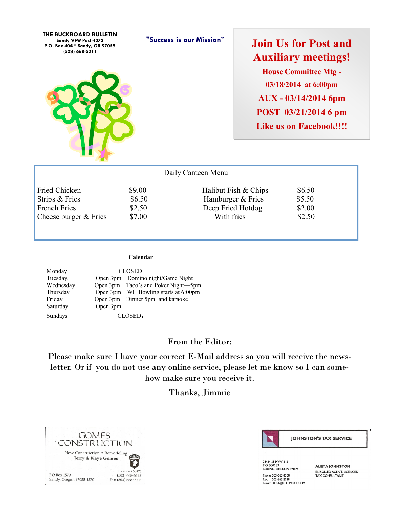| THE BUCKBOARD BULLETIN<br>Sandy VFW Post 4273<br>P.O. Box 404 * Sandy, OR 97055<br>(503) 668-5211 | "Success is our Mission"             | <b>Join Us for Post and</b><br><b>Auxiliary meetings!</b><br><b>House Committee Mtg -</b><br>03/18/2014 at 6:00pm<br>$AUX - 03/14/2014$ 6pm<br>POST 03/21/2014 6 pm<br><b>Like us on Facebook!!!!</b> |  |
|---------------------------------------------------------------------------------------------------|--------------------------------------|-------------------------------------------------------------------------------------------------------------------------------------------------------------------------------------------------------|--|
|                                                                                                   | Daily Canteen Menu                   |                                                                                                                                                                                                       |  |
| <b>Fried Chicken</b><br>Strips & Fries<br><b>French Fries</b><br>Cheese burger & Fries            | \$9.00<br>\$6.50<br>\$2.50<br>\$7.00 | \$6.50<br>Halibut Fish & Chips<br>Hamburger & Fries<br>\$5.50<br>Deep Fried Hotdog<br>\$2.00<br>With fries<br>\$2.50                                                                                  |  |

#### **Calendar**

| Monday     | <b>CLOSED</b> |                                       |  |  |
|------------|---------------|---------------------------------------|--|--|
| Tuesday.   |               | Open 3pm Domino night/Game Night      |  |  |
| Wednesday. |               | Open 3pm Taco's and Poker Night-5pm   |  |  |
| Thursday   |               | Open 3pm WII Bowling starts at 6:00pm |  |  |
| Friday     | Open 3pm      | Dinner 5pm and karaoke                |  |  |
| Saturday.  | Open 3pm      |                                       |  |  |
| Sundays    |               | CLOSED.                               |  |  |

#### From the Editor:

Please make sure I have your correct E-Mail address so you will receive the newsletter. Or if you do not use any online service, please let me know so I can somehow make sure you receive it.

### Thanks, Jimmie





**JOHNSTON'S TAX SERVICE** 

28424 SE HWY 212<br>P O BOX 33<br>BORING, OREGON 97009 Phone: 503-663-3308<br>Fax: 503-663-2938<br>E-mail: DERA@TELEPORT.COM

**ALETA JOHNSTON** ENROLLED AGENT, LICENCED TAX CONSULTANT